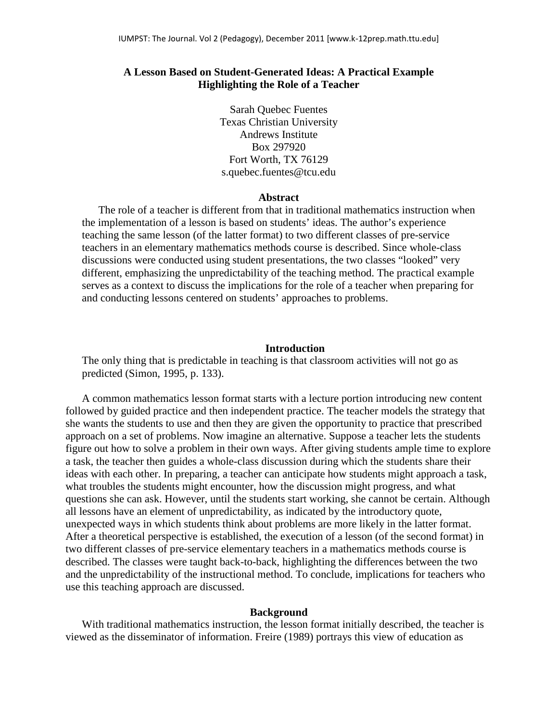# **A Lesson Based on Student-Generated Ideas: A Practical Example Highlighting the Role of a Teacher**

Sarah Quebec Fuentes Texas Christian University Andrews Institute Box 297920 Fort Worth, TX 76129 s.quebec.fuentes@tcu.edu

## **Abstract**

The role of a teacher is different from that in traditional mathematics instruction when the implementation of a lesson is based on students' ideas. The author's experience teaching the same lesson (of the latter format) to two different classes of pre-service teachers in an elementary mathematics methods course is described. Since whole-class discussions were conducted using student presentations, the two classes "looked" very different, emphasizing the unpredictability of the teaching method. The practical example serves as a context to discuss the implications for the role of a teacher when preparing for and conducting lessons centered on students' approaches to problems.

### **Introduction**

The only thing that is predictable in teaching is that classroom activities will not go as predicted (Simon, 1995, p. 133).

A common mathematics lesson format starts with a lecture portion introducing new content followed by guided practice and then independent practice. The teacher models the strategy that she wants the students to use and then they are given the opportunity to practice that prescribed approach on a set of problems. Now imagine an alternative. Suppose a teacher lets the students figure out how to solve a problem in their own ways. After giving students ample time to explore a task, the teacher then guides a whole-class discussion during which the students share their ideas with each other. In preparing, a teacher can anticipate how students might approach a task, what troubles the students might encounter, how the discussion might progress, and what questions she can ask. However, until the students start working, she cannot be certain. Although all lessons have an element of unpredictability, as indicated by the introductory quote, unexpected ways in which students think about problems are more likely in the latter format. After a theoretical perspective is established, the execution of a lesson (of the second format) in two different classes of pre-service elementary teachers in a mathematics methods course is described. The classes were taught back-to-back, highlighting the differences between the two and the unpredictability of the instructional method. To conclude, implications for teachers who use this teaching approach are discussed.

#### **Background**

With traditional mathematics instruction, the lesson format initially described, the teacher is viewed as the disseminator of information. Freire (1989) portrays this view of education as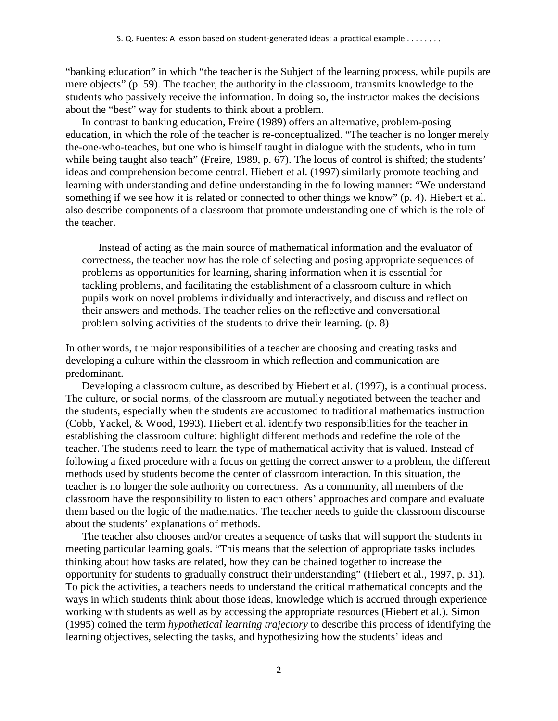"banking education" in which "the teacher is the Subject of the learning process, while pupils are mere objects" (p. 59). The teacher, the authority in the classroom, transmits knowledge to the students who passively receive the information. In doing so, the instructor makes the decisions about the "best" way for students to think about a problem.

In contrast to banking education, Freire (1989) offers an alternative, problem-posing education, in which the role of the teacher is re-conceptualized. "The teacher is no longer merely the-one-who-teaches, but one who is himself taught in dialogue with the students, who in turn while being taught also teach" (Freire, 1989, p. 67). The locus of control is shifted; the students' ideas and comprehension become central. Hiebert et al. (1997) similarly promote teaching and learning with understanding and define understanding in the following manner: "We understand something if we see how it is related or connected to other things we know" (p. 4). Hiebert et al. also describe components of a classroom that promote understanding one of which is the role of the teacher.

 Instead of acting as the main source of mathematical information and the evaluator of correctness, the teacher now has the role of selecting and posing appropriate sequences of problems as opportunities for learning, sharing information when it is essential for tackling problems, and facilitating the establishment of a classroom culture in which pupils work on novel problems individually and interactively, and discuss and reflect on their answers and methods. The teacher relies on the reflective and conversational problem solving activities of the students to drive their learning. (p. 8)

In other words, the major responsibilities of a teacher are choosing and creating tasks and developing a culture within the classroom in which reflection and communication are predominant.

Developing a classroom culture, as described by Hiebert et al. (1997), is a continual process. The culture, or social norms, of the classroom are mutually negotiated between the teacher and the students, especially when the students are accustomed to traditional mathematics instruction (Cobb, Yackel, & Wood, 1993). Hiebert et al. identify two responsibilities for the teacher in establishing the classroom culture: highlight different methods and redefine the role of the teacher. The students need to learn the type of mathematical activity that is valued. Instead of following a fixed procedure with a focus on getting the correct answer to a problem, the different methods used by students become the center of classroom interaction. In this situation, the teacher is no longer the sole authority on correctness. As a community, all members of the classroom have the responsibility to listen to each others' approaches and compare and evaluate them based on the logic of the mathematics. The teacher needs to guide the classroom discourse about the students' explanations of methods.

The teacher also chooses and/or creates a sequence of tasks that will support the students in meeting particular learning goals. "This means that the selection of appropriate tasks includes thinking about how tasks are related, how they can be chained together to increase the opportunity for students to gradually construct their understanding" (Hiebert et al., 1997, p. 31). To pick the activities, a teachers needs to understand the critical mathematical concepts and the ways in which students think about those ideas, knowledge which is accrued through experience working with students as well as by accessing the appropriate resources (Hiebert et al.). Simon (1995) coined the term *hypothetical learning trajectory* to describe this process of identifying the learning objectives, selecting the tasks, and hypothesizing how the students' ideas and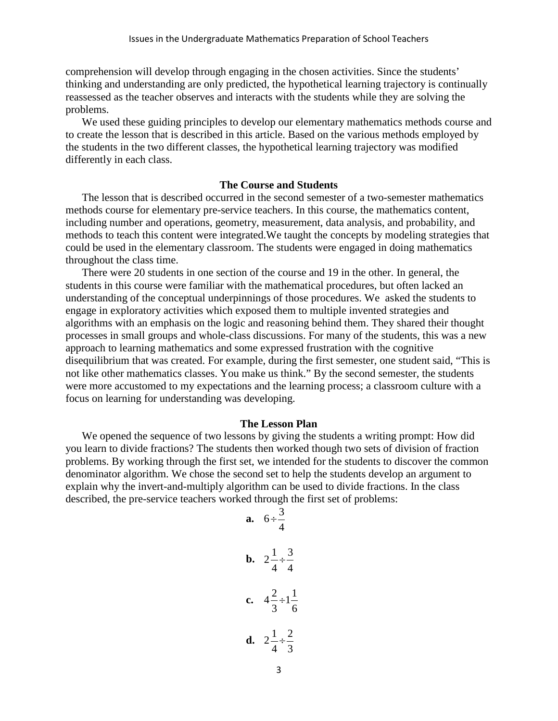comprehension will develop through engaging in the chosen activities. Since the students' thinking and understanding are only predicted, the hypothetical learning trajectory is continually reassessed as the teacher observes and interacts with the students while they are solving the problems.

We used these guiding principles to develop our elementary mathematics methods course and to create the lesson that is described in this article. Based on the various methods employed by the students in the two different classes, the hypothetical learning trajectory was modified differently in each class.

## **The Course and Students**

The lesson that is described occurred in the second semester of a two-semester mathematics methods course for elementary pre-service teachers. In this course, the mathematics content, including number and operations, geometry, measurement, data analysis, and probability, and methods to teach this content were integrated.We taught the concepts by modeling strategies that could be used in the elementary classroom. The students were engaged in doing mathematics throughout the class time.

There were 20 students in one section of the course and 19 in the other. In general, the students in this course were familiar with the mathematical procedures, but often lacked an understanding of the conceptual underpinnings of those procedures. We asked the students to engage in exploratory activities which exposed them to multiple invented strategies and algorithms with an emphasis on the logic and reasoning behind them. They shared their thought processes in small groups and whole-class discussions. For many of the students, this was a new approach to learning mathematics and some expressed frustration with the cognitive disequilibrium that was created. For example, during the first semester, one student said, "This is not like other mathematics classes. You make us think." By the second semester, the students were more accustomed to my expectations and the learning process; a classroom culture with a focus on learning for understanding was developing.

### **The Lesson Plan**

We opened the sequence of two lessons by giving the students a writing prompt: How did you learn to divide fractions? The students then worked though two sets of division of fraction problems. By working through the first set, we intended for the students to discover the common denominator algorithm. We chose the second set to help the students develop an argument to explain why the invert-and-multiply algorithm can be used to divide fractions. In the class described, the pre-service teachers worked through the first set of problems:

**a.** 
$$
6 \div \frac{3}{4}
$$
  
\n**b.**  $2\frac{1}{4} \div \frac{3}{4}$   
\n**c.**  $4\frac{2}{3} \div 1\frac{1}{6}$   
\n**d.**  $2\frac{1}{4} \div \frac{2}{3}$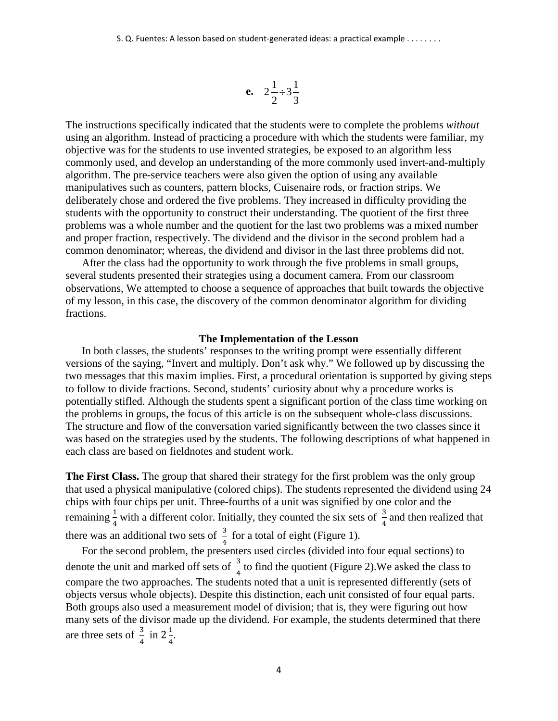$$
e. \quad 2\frac{1}{2} \div 3\frac{1}{3}
$$

The instructions specifically indicated that the students were to complete the problems *without* using an algorithm. Instead of practicing a procedure with which the students were familiar, my objective was for the students to use invented strategies, be exposed to an algorithm less commonly used, and develop an understanding of the more commonly used invert-and-multiply algorithm. The pre-service teachers were also given the option of using any available manipulatives such as counters, pattern blocks, Cuisenaire rods, or fraction strips. We deliberately chose and ordered the five problems. They increased in difficulty providing the students with the opportunity to construct their understanding. The quotient of the first three problems was a whole number and the quotient for the last two problems was a mixed number and proper fraction, respectively. The dividend and the divisor in the second problem had a common denominator; whereas, the dividend and divisor in the last three problems did not.

After the class had the opportunity to work through the five problems in small groups, several students presented their strategies using a document camera. From our classroom observations, We attempted to choose a sequence of approaches that built towards the objective of my lesson, in this case, the discovery of the common denominator algorithm for dividing fractions.

#### **The Implementation of the Lesson**

In both classes, the students' responses to the writing prompt were essentially different versions of the saying, "Invert and multiply. Don't ask why." We followed up by discussing the two messages that this maxim implies. First, a procedural orientation is supported by giving steps to follow to divide fractions. Second, students' curiosity about why a procedure works is potentially stifled. Although the students spent a significant portion of the class time working on the problems in groups, the focus of this article is on the subsequent whole-class discussions. The structure and flow of the conversation varied significantly between the two classes since it was based on the strategies used by the students. The following descriptions of what happened in each class are based on fieldnotes and student work.

**The First Class.** The group that shared their strategy for the first problem was the only group that used a physical manipulative (colored chips). The students represented the dividend using 24 chips with four chips per unit. Three-fourths of a unit was signified by one color and the remaining  $\frac{1}{4}$  with a different color. Initially, they counted the six sets of  $\frac{3}{4}$  and then realized that there was an additional two sets of  $\frac{3}{4}$  for a total of eight (Figure 1).

For the second problem, the presenters used circles (divided into four equal sections) to denote the unit and marked off sets of  $\frac{3}{4}$  to find the quotient (Figure 2). We asked the class to 4 compare the two approaches. The students noted that a unit is represented differently (sets of objects versus whole objects). Despite this distinction, each unit consisted of four equal parts. Both groups also used a measurement model of division; that is, they were figuring out how many sets of the divisor made up the dividend. For example, the students determined that there are three sets of  $\frac{3}{4}$  in  $2\frac{1}{4}$ .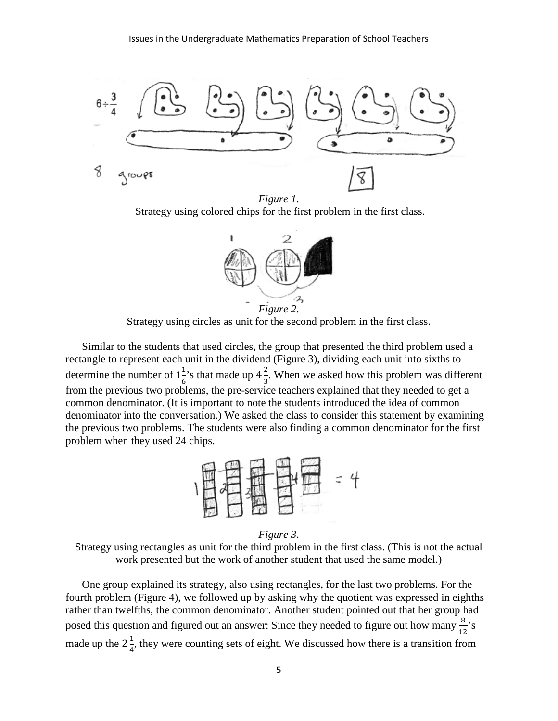

*Figure 1*. Strategy using colored chips for the first problem in the first class.



Strategy using circles as unit for the second problem in the first class.

Similar to the students that used circles, the group that presented the third problem used a rectangle to represent each unit in the dividend (Figure 3), dividing each unit into sixths to determine the number of  $1\frac{1}{6}$ 's that made up  $4\frac{2}{3}$ . When we asked how this problem was different from the previous two problems, the pre-service teachers explained that they needed to get a common denominator. (It is important to note the students introduced the idea of common denominator into the conversation.) We asked the class to consider this statement by examining the previous two problems. The students were also finding a common denominator for the first problem when they used 24 chips.



*Figure 3*.

Strategy using rectangles as unit for the third problem in the first class. (This is not the actual work presented but the work of another student that used the same model.)

One group explained its strategy, also using rectangles, for the last two problems. For the fourth problem (Figure 4), we followed up by asking why the quotient was expressed in eighths rather than twelfths, the common denominator. Another student pointed out that her group had posed this question and figured out an answer: Since they needed to figure out how many  $\frac{8}{15}$  $\frac{0}{12}$ 's made up the  $2\frac{1}{4}$ , they were counting sets of eight. We discussed how there is a transition from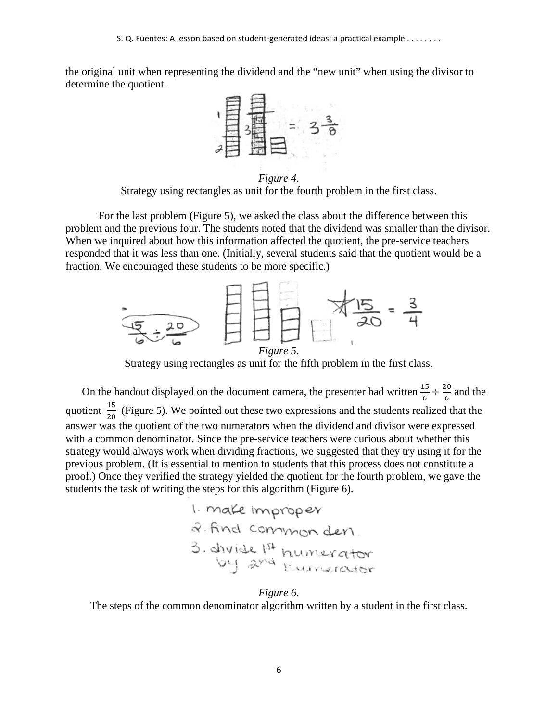the original unit when representing the dividend and the "new unit" when using the divisor to determine the quotient.



Strategy using rectangles as unit for the fourth problem in the first class.

 For the last problem (Figure 5), we asked the class about the difference between this problem and the previous four. The students noted that the dividend was smaller than the divisor. When we inquired about how this information affected the quotient, the pre-service teachers responded that it was less than one. (Initially, several students said that the quotient would be a fraction. We encouraged these students to be more specific.)



Strategy using rectangles as unit for the fifth problem in the first class.

On the handout displayed on the document camera, the presenter had written  $\frac{15}{6} \div \frac{20}{6}$  $rac{10}{6}$  and the quotient  $\frac{15}{20}$  (Figure 5). We pointed out these two expressions and the students realized that the answer was the quotient of the two numerators when the dividend and divisor were expressed with a common denominator. Since the pre-service teachers were curious about whether this strategy would always work when dividing fractions, we suggested that they try using it for the previous problem. (It is essential to mention to students that this process does not constitute a proof.) Once they verified the strategy yielded the quotient for the fourth problem, we gave the students the task of writing the steps for this algorithm (Figure 6).

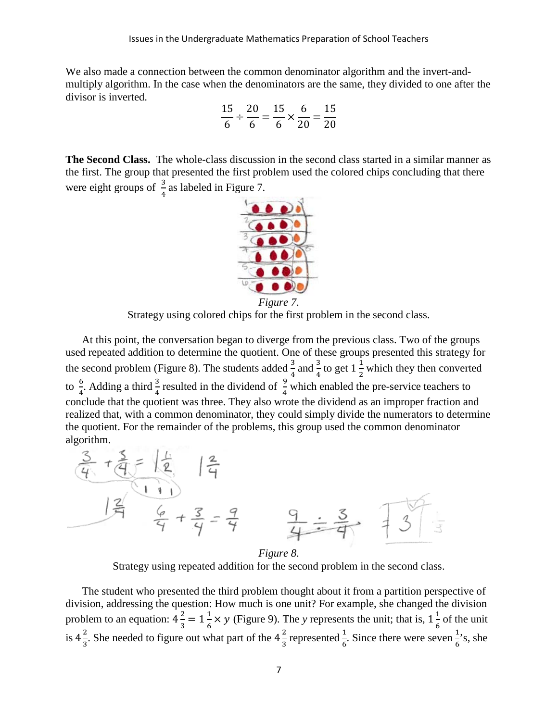We also made a connection between the common denominator algorithm and the invert-andmultiply algorithm. In the case when the denominators are the same, they divided to one after the divisor is inverted.

$$
\frac{15}{6} \div \frac{20}{6} = \frac{15}{6} \times \frac{6}{20} = \frac{15}{20}
$$

**The Second Class.** The whole-class discussion in the second class started in a similar manner as the first. The group that presented the first problem used the colored chips concluding that there were eight groups of  $\frac{3}{4}$  as labeled in Figure 7.



Strategy using colored chips for the first problem in the second class.

At this point, the conversation began to diverge from the previous class. Two of the groups used repeated addition to determine the quotient. One of these groups presented this strategy for the second problem (Figure 8). The students added  $\frac{3}{4}$  and  $\frac{3}{4}$  to get  $1\frac{1}{2}$  which they then converted to  $\frac{6}{4}$  $\frac{6}{4}$ . Adding a third  $\frac{3}{4}$  resulted in the dividend of  $\frac{9}{4}$  which enabled the pre-service teachers to conclude that the quotient was three. They also wrote the dividend as an improper fraction and realized that, with a common denominator, they could simply divide the numerators to determine the quotient. For the remainder of the problems, this group used the common denominator algorithm.



Strategy using repeated addition for the second problem in the second class.

The student who presented the third problem thought about it from a partition perspective of division, addressing the question: How much is one unit? For example, she changed the division problem to an equation:  $4\frac{2}{3} = 1\frac{1}{6} \times y$  (Figure 9). The *y* represents the unit; that is,  $1\frac{1}{6}$  of the unit is  $4\frac{2}{3}$ . She needed to figure out what part of the  $4\frac{2}{3}$  represented  $\frac{1}{6}$ . Since there were seven  $\frac{1}{6}$ 's, she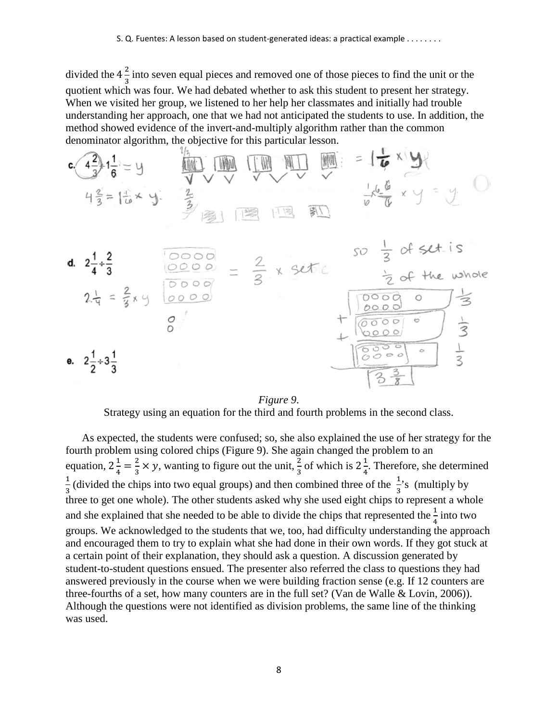divided the  $4\frac{2}{3}$  into seven equal pieces and removed one of those pieces to find the unit or the quotient which was four. We had debated whether to ask this student to present her strategy. When we visited her group, we listened to her help her classmates and initially had trouble understanding her approach, one that we had not anticipated the students to use. In addition, the method showed evidence of the invert-and-multiply algorithm rather than the common denominator algorithm, the objective for this particular lesson.



*Figure 9*.

Strategy using an equation for the third and fourth problems in the second class.

As expected, the students were confused; so, she also explained the use of her strategy for the fourth problem using colored chips (Figure 9). She again changed the problem to an equation,  $2\frac{1}{4} = \frac{2}{3} \times y$ , wanting to figure out the unit,  $\frac{2}{3}$  of which is  $2\frac{1}{4}$ . Therefore, she determined  $\frac{1}{2}$  (divided the chips into two equal groups) and then combined three of the  $\frac{1}{2}$ 's (multiply by three to get one whole). The other students asked why she used eight chips to represent a whole and she explained that she needed to be able to divide the chips that represented the  $\frac{1}{4}$  into two groups. We acknowledged to the students that we, too, had difficulty understanding the approach and encouraged them to try to explain what she had done in their own words. If they got stuck at a certain point of their explanation, they should ask a question. A discussion generated by student-to-student questions ensued. The presenter also referred the class to questions they had answered previously in the course when we were building fraction sense (e.g. If 12 counters are three-fourths of a set, how many counters are in the full set? (Van de Walle & Lovin, 2006)). Although the questions were not identified as division problems, the same line of the thinking was used.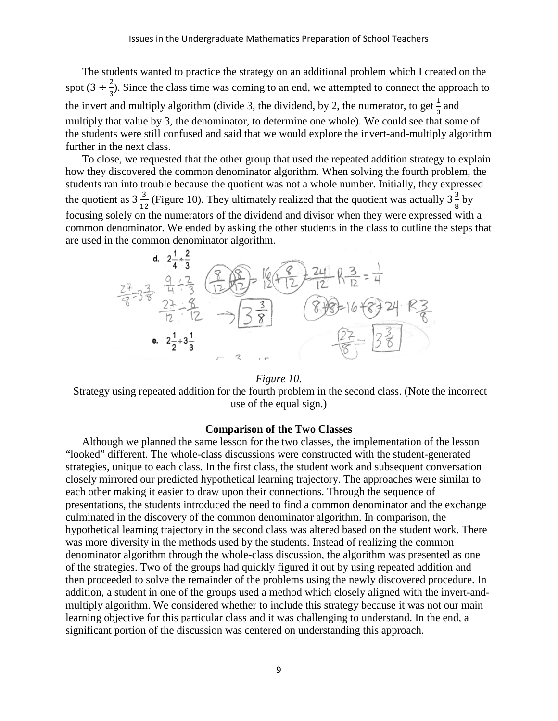The students wanted to practice the strategy on an additional problem which I created on the spot  $(3 \div \frac{2}{3})$ . Since the class time was coming to an end, we attempted to connect the approach to the invert and multiply algorithm (divide 3, the dividend, by 2, the numerator, to get  $\frac{1}{2}$  and multiply that value by 3, the denominator, to determine one whole). We could see that some of the students were still confused and said that we would explore the invert-and-multiply algorithm further in the next class.

To close, we requested that the other group that used the repeated addition strategy to explain how they discovered the common denominator algorithm. When solving the fourth problem, the students ran into trouble because the quotient was not a whole number. Initially, they expressed the quotient as  $3\frac{3}{12}$  (Figure 10). They ultimately realized that the quotient was actually  $3\frac{3}{8}$  by focusing solely on the numerators of the dividend and divisor when they were expressed with a common denominator. We ended by asking the other students in the class to outline the steps that



### *Figure 10*.

 Strategy using repeated addition for the fourth problem in the second class. (Note the incorrect use of the equal sign.)

### **Comparison of the Two Classes**

Although we planned the same lesson for the two classes, the implementation of the lesson "looked" different. The whole-class discussions were constructed with the student-generated strategies, unique to each class. In the first class, the student work and subsequent conversation closely mirrored our predicted hypothetical learning trajectory. The approaches were similar to each other making it easier to draw upon their connections. Through the sequence of presentations, the students introduced the need to find a common denominator and the exchange culminated in the discovery of the common denominator algorithm. In comparison, the hypothetical learning trajectory in the second class was altered based on the student work. There was more diversity in the methods used by the students. Instead of realizing the common denominator algorithm through the whole-class discussion, the algorithm was presented as one of the strategies. Two of the groups had quickly figured it out by using repeated addition and then proceeded to solve the remainder of the problems using the newly discovered procedure. In addition, a student in one of the groups used a method which closely aligned with the invert-andmultiply algorithm. We considered whether to include this strategy because it was not our main learning objective for this particular class and it was challenging to understand. In the end, a significant portion of the discussion was centered on understanding this approach.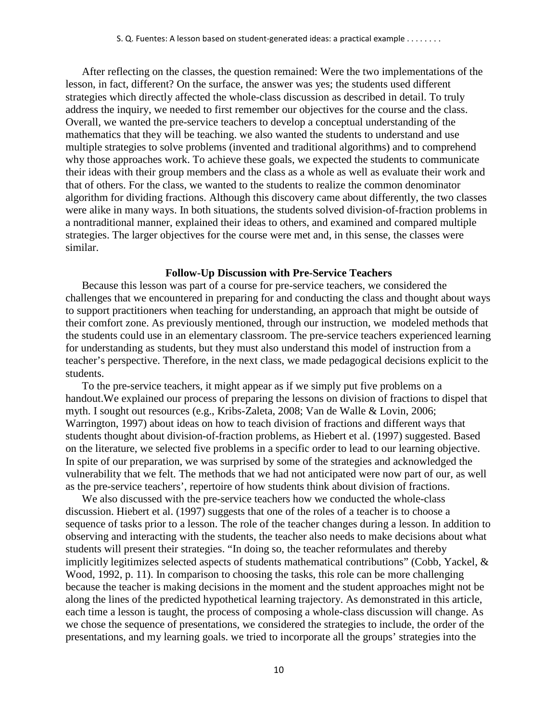After reflecting on the classes, the question remained: Were the two implementations of the lesson, in fact, different? On the surface, the answer was yes; the students used different strategies which directly affected the whole-class discussion as described in detail. To truly address the inquiry, we needed to first remember our objectives for the course and the class. Overall, we wanted the pre-service teachers to develop a conceptual understanding of the mathematics that they will be teaching. we also wanted the students to understand and use multiple strategies to solve problems (invented and traditional algorithms) and to comprehend why those approaches work. To achieve these goals, we expected the students to communicate their ideas with their group members and the class as a whole as well as evaluate their work and that of others. For the class, we wanted to the students to realize the common denominator algorithm for dividing fractions. Although this discovery came about differently, the two classes were alike in many ways. In both situations, the students solved division-of-fraction problems in a nontraditional manner, explained their ideas to others, and examined and compared multiple strategies. The larger objectives for the course were met and, in this sense, the classes were similar.

### **Follow-Up Discussion with Pre-Service Teachers**

Because this lesson was part of a course for pre-service teachers, we considered the challenges that we encountered in preparing for and conducting the class and thought about ways to support practitioners when teaching for understanding, an approach that might be outside of their comfort zone. As previously mentioned, through our instruction, we modeled methods that the students could use in an elementary classroom. The pre-service teachers experienced learning for understanding as students, but they must also understand this model of instruction from a teacher's perspective. Therefore, in the next class, we made pedagogical decisions explicit to the students.

To the pre-service teachers, it might appear as if we simply put five problems on a handout.We explained our process of preparing the lessons on division of fractions to dispel that myth. I sought out resources (e.g., Kribs-Zaleta, 2008; Van de Walle & Lovin, 2006; Warrington, 1997) about ideas on how to teach division of fractions and different ways that students thought about division-of-fraction problems, as Hiebert et al. (1997) suggested. Based on the literature, we selected five problems in a specific order to lead to our learning objective. In spite of our preparation, we was surprised by some of the strategies and acknowledged the vulnerability that we felt. The methods that we had not anticipated were now part of our, as well as the pre-service teachers', repertoire of how students think about division of fractions.

We also discussed with the pre-service teachers how we conducted the whole-class discussion. Hiebert et al. (1997) suggests that one of the roles of a teacher is to choose a sequence of tasks prior to a lesson. The role of the teacher changes during a lesson. In addition to observing and interacting with the students, the teacher also needs to make decisions about what students will present their strategies. "In doing so, the teacher reformulates and thereby implicitly legitimizes selected aspects of students mathematical contributions" (Cobb, Yackel, & Wood, 1992, p. 11). In comparison to choosing the tasks, this role can be more challenging because the teacher is making decisions in the moment and the student approaches might not be along the lines of the predicted hypothetical learning trajectory. As demonstrated in this article, each time a lesson is taught, the process of composing a whole-class discussion will change. As we chose the sequence of presentations, we considered the strategies to include, the order of the presentations, and my learning goals. we tried to incorporate all the groups' strategies into the